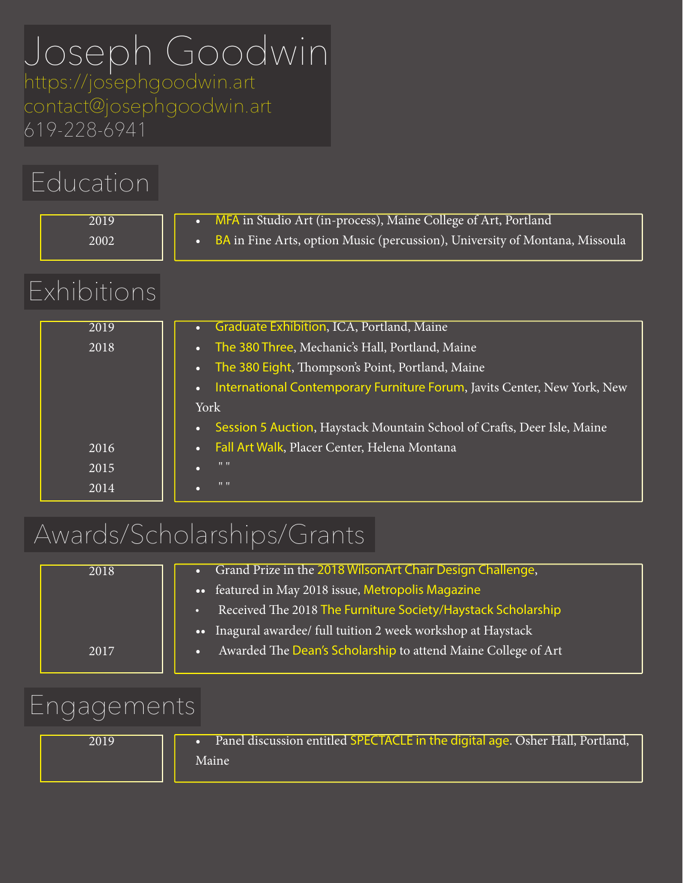# Joseph Goodwin

https://josephgoodwin.art contact@josephgoodwin.art 619-228-6941

|             | Education            |                                                                                                                                                                                                                                                                                                                              |  |
|-------------|----------------------|------------------------------------------------------------------------------------------------------------------------------------------------------------------------------------------------------------------------------------------------------------------------------------------------------------------------------|--|
|             | 2019<br>2002         | MFA in Studio Art (in-process), Maine College of Art, Portland<br>$\bullet$<br><b>BA</b> in Fine Arts, option Music (percussion), University of Montana, Missoula<br>$\bullet$                                                                                                                                               |  |
| Exhibitions |                      |                                                                                                                                                                                                                                                                                                                              |  |
|             | 2019<br>2018         | Graduate Exhibition, ICA, Portland, Maine<br>The 380 Three, Mechanic's Hall, Portland, Maine<br>The 380 Eight, Thompson's Point, Portland, Maine<br>$\bullet$<br>International Contemporary Furniture Forum, Javits Center, New York, New<br>York<br>Session 5 Auction, Haystack Mountain School of Crafts, Deer Isle, Maine |  |
|             | 2016<br>2015<br>2014 | Fall Art Walk, Placer Center, Helena Montana<br>$11 - 11$<br>$11 - 11$                                                                                                                                                                                                                                                       |  |

## Awards/Scholarships/Grants

| Grand Prize in the 2018 WilsonArt Chair Design Challenge,     |
|---------------------------------------------------------------|
|                                                               |
| Received The 2018 The Furniture Society/Haystack Scholarship  |
| • Inagural awardee/ full tuition 2 week workshop at Haystack  |
| Awarded The Dean's Scholarship to attend Maine College of Art |
|                                                               |

#### Engagements

• Panel discussion entitled SPECTACLE in the digital age. Osher Hall, Portland, Maine